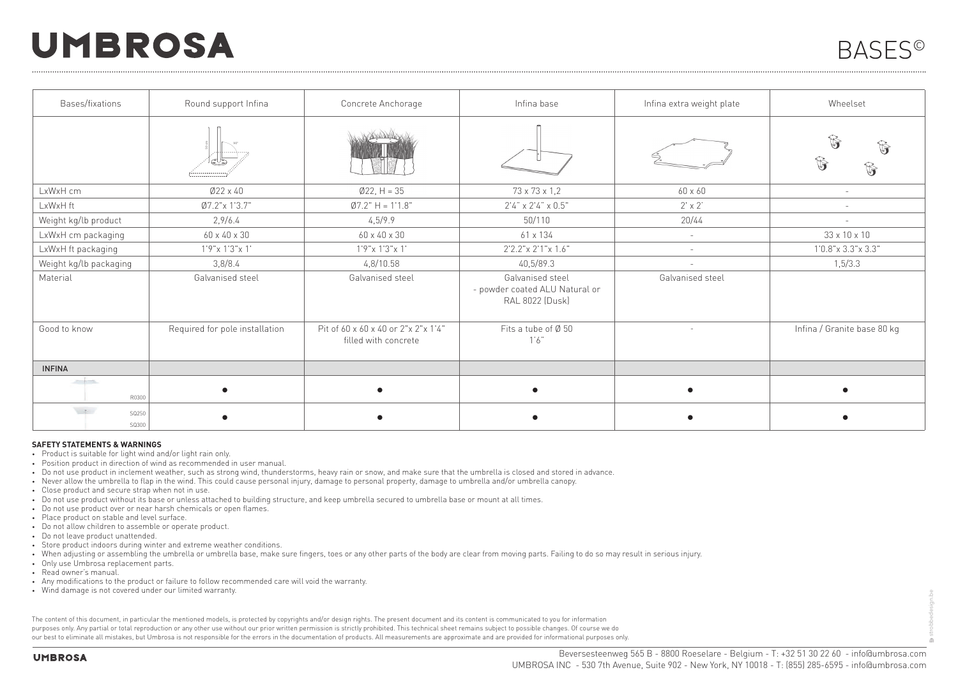## **UMBROSA**

strobbedesign.be

| Bases/fixations                 | Round support Infina           | Concrete Anchorage                                          | Infina base                                                           | Infina extra weight plate | Wheelset                     |
|---------------------------------|--------------------------------|-------------------------------------------------------------|-----------------------------------------------------------------------|---------------------------|------------------------------|
|                                 |                                |                                                             |                                                                       |                           | $\mathbb{G}$<br>$\mathbb{G}$ |
| LxWxH cm                        | $Ø22 \times 40$                | $Ø22, H = 35$                                               | 73 x 73 x 1,2                                                         | 60 x 60                   | ÷                            |
| LxWxH ft                        | Ø7.2"x 1'3.7"                  | $Ø7.2" H = 1'1.8"$                                          | $2'4'' \times 2'4'' \times 0.5''$                                     | $2' \times 2'$            |                              |
| Weight kg/lb product            | 2,9/6.4                        | 4,5/9.9                                                     | 50/110                                                                | 20/44                     |                              |
| LxWxH cm packaging              | $60 \times 40 \times 30$       | $60 \times 40 \times 30$                                    | $61 \times 134$                                                       | $\sim$                    | 33 x 10 x 10                 |
| LxWxH ft packaging              | $1'9''$ x 1'3"x 1'             | $1'9''$ x 1'3"x 1'                                          | 2'2.2" x 2'1" x 1.6"                                                  | $\sim$                    | $1'0.8''$ x 3.3"x 3.3"       |
| Weight kg/lb packaging          | 3,8/8.4                        | 4,8/10.58                                                   | 40,5/89.3                                                             | $\overline{\phantom{a}}$  | 1,5/3.3                      |
| Material                        | Galvanised steel               | Galvanised steel                                            | Galvanised steel<br>- powder coated ALU Natural or<br>RAL 8022 (Dusk) | Galvanised steel          |                              |
| Good to know                    | Required for pole installation | Pit of 60 x 60 x 40 or 2"x 2"x 1'4"<br>filled with concrete | Fits a tube of Ø 50<br>1'6'                                           | $\sim$                    | Infina / Granite base 80 kg  |
| <b>INFINA</b>                   |                                |                                                             |                                                                       |                           |                              |
| حفاد<br>R0300                   |                                |                                                             |                                                                       |                           |                              |
| $\mathcal{M}$<br>SQ250<br>SQ300 |                                |                                                             |                                                                       |                           |                              |

## **SAFETY STATEMENTS & WARNINGS**

- Product is suitable for light wind and/or light rain only.
- Position product in direction of wind as recommended in user manual.
- Do not use product in inclement weather, such as strong wind, thunderstorms, heavy rain or snow, and make sure that the umbrella is closed and stored in advance.
- Never allow the umbrella to flap in the wind. This could cause personal injury, damage to personal property, damage to umbrella and/or umbrella canopy.
- Close product and secure strap when not in use.
- Do not use product without its base or unless attached to building structure, and keep umbrella secured to umbrella base or mount at all times.
- Do not use product over or near harsh chemicals or open flames.
- Place product on stable and level surface.
- Do not allow children to assemble or operate product.
- Do not leave product unattended.
- Store product indoors during winter and extreme weather conditions.
- When adjusting or assembling the umbrella or umbrella base, make sure fingers, toes or any other parts of the body are clear from moving parts. Failing to do so may result in serious injury.
- Only use Umbrosa replacement parts.
- Read owner's manual.
- Any modifications to the product or failure to follow recommended care will void the warranty.
- Wind damage is not covered under our limited warranty.

The content of this document, in particular the mentioned models, is protected by copyrights and/or design rights. The present document and its content is communicated to you for information purposes only. Any partial or total reproduction or any other use without our prior written permission is strictly prohibited. This technical sheet remains subject to possible changes. Of course we do our best to eliminate all mistakes, but Umbrosa is not responsible for the errors in the documentation of products. All measurements are approximate and are provided for informational purposes only.

**UMBROSA**